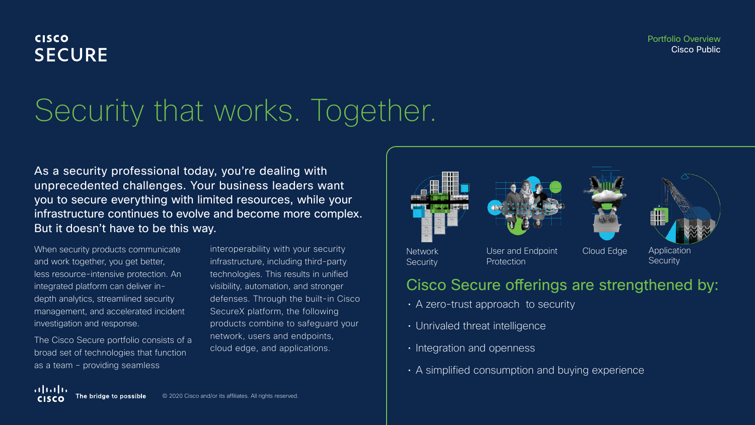Portfolio Overview Cisco Public

# **CISCO SECURE**

# Security that works. Together.

As a security professional today, you're dealing with unprecedented challenges. Your business leaders want you to secure everything with limited resources, while your infrastructure continues to evolve and become more complex. But it doesn't have to be this way.

When security products communicate and work together, you get better, less resource-intensive protection. An integrated platform can deliver indepth analytics, streamlined security management, and accelerated incident investigation and response.

The Cisco Secure portfolio consists of a broad set of technologies that function as a team – providing seamless

interoperability with your security infrastructure, including third-party technologies. This results in unified visibility, automation, and stronger defenses. Through the built-in Cisco SecureX platform, the following products combine to safeguard your network, users and endpoints, cloud edge, and applications.









#### Network **Security**

User and Endpoint Cloud Edge **Protection** 

**Security** 

# Cisco Secure offerings are strengthened by:

- A zero-trust approach to security
- Unrivaled threat intelligence
- Integration and openness
- A simplified consumption and buying experience